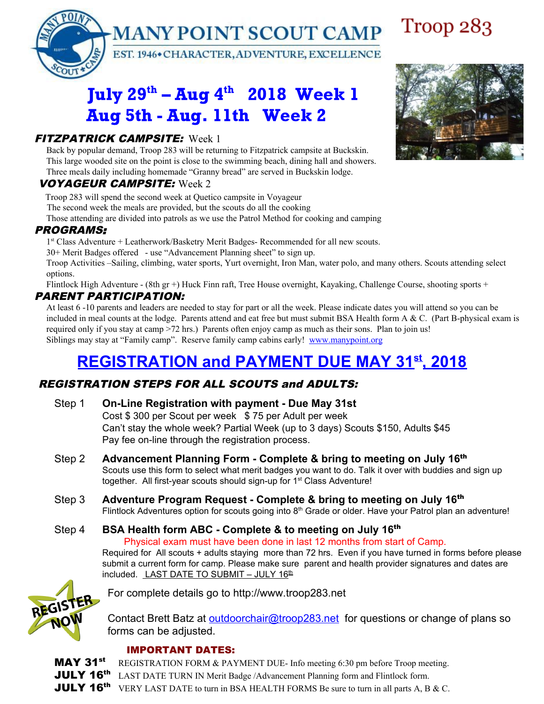

## July 29<sup>th</sup> – Aug 4<sup>th</sup> 2018 Week 1 Aug 5th - Aug. 11th Week 2

## FITZPATRICK CAMPSITE: Week 1

Back by popular demand, Troop 283 will be returning to Fitzpatrick campsite at Buckskin. This large wooded site on the point is close to the swimming beach, dining hall and showers. Three meals daily including homemade "Granny bread" are served in Buckskin lodge.

#### VOYAGEUR CAMPSITE: Week 2

Troop 283 will spend the second week at Quetico campsite in Voyageur

The second week the meals are provided, but the scouts do all the cooking

Those attending are divided into patrols as we use the Patrol Method for cooking and camping

#### PROGRAMS:

1<sup>st</sup> Class Adventure + Leatherwork/Basketry Merit Badges- Recommended for all new scouts.

30+ Merit Badges offered - use "Advancement Planning sheet" to sign up.

Troop Activities –Sailing, climbing, water sports, Yurt overnight, Iron Man, water polo, and many others. Scouts attending select options.

Flintlock High Adventure - (8th gr +) Huck Finn raft, Tree House overnight, Kayaking, Challenge Course, shooting sports +

### PARENT PARTICIPATION:

At least 6 -10 parents and leaders are needed to stay for part or all the week. Please indicate dates you will attend so you can be included in meal counts at the lodge. Parents attend and eat free but must submit BSA Health form A & C. (Part B-physical exam is required only if you stay at camp >72 hrs.) Parents often enjoy camp as much as their sons. Plan to join us! Siblings may stay at "Family camp". Reserve family camp cabins early! [www.manypoint.org](http://www.manypoint.org/)

# **REGISTRATION and PAYMENT DUE MAY 31 st , 2018**

### REGISTRATION STEPS FOR ALL SCOUTS and ADULTS:

- Step 1 **On-Line Registration with payment - Due May 31st** Cost \$ 300 per Scout per week \$ 75 per Adult per week Can't stay the whole week? Partial Week (up to 3 days) Scouts \$150, Adults \$45 Pay fee on-line through the registration process.
- Step 2 **Advancement Planning Form - Complete & bring to meeting on July 16** th Scouts use this form to select what merit badges you want to do. Talk it over with buddies and sign up together. All first-year scouts should sign-up for 1<sup>st</sup> Class Adventure!
- Step 3 **Adventure Program Request Complete & bring to meeting on July 16<sup>th</sup>** Flintlock Adventures option for scouts going into 8<sup>th</sup> Grade or older. Have your Patrol plan an adventure!
- Step 4 **BSA Health form ABC Complete & to meeting on July 16<sup>th</sup>** Physical exam must have been done in last 12 months from start of Camp.

Required for All scouts + adults staying more than 72 hrs. Even if you have turned in forms before please submit a current form for camp. Please make sure parent and health provider signatures and dates are included. <u>LAST DATE TO SUBMIT – JULY 16<sup>th</sup></u>



For complete details go to http://www.troop283.net

Contact Brett Batz at [outdoorchair@troop283.net](mailto:outdoorchair@troop283.net) for questions or change of plans so forms can be adjusted.

#### IMPORTANT DATES:

MAY 31<sup>st</sup> REGISTRATION FORM & PAYMENT DUE- Info meeting 6:30 pm before Troop meeting. **JULY 16<sup>th</sup>** LAST DATE TURN IN Merit Badge /Advancement Planning form and Flintlock form. JULY 16<sup>th</sup> VERY LAST DATE to turn in BSA HEALTH FORMS Be sure to turn in all parts A, B & C.



Troop 283